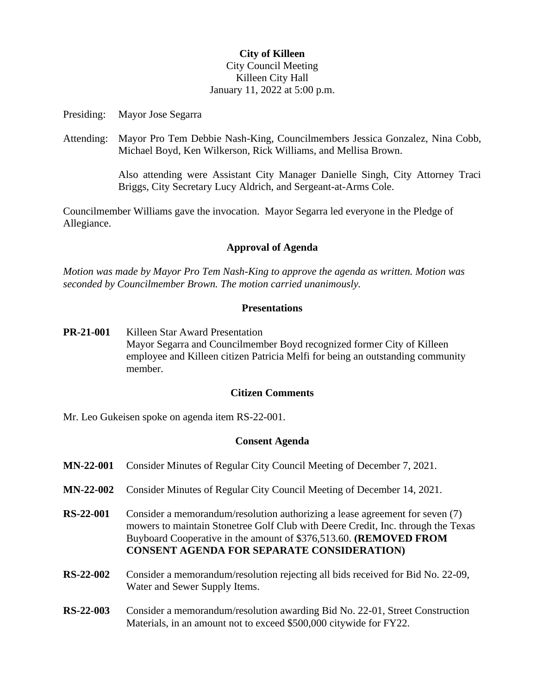### **City of Killeen** City Council Meeting Killeen City Hall January 11, 2022 at 5:00 p.m.

Presiding: Mayor Jose Segarra

Attending: Mayor Pro Tem Debbie Nash-King, Councilmembers Jessica Gonzalez, Nina Cobb, Michael Boyd, Ken Wilkerson, Rick Williams, and Mellisa Brown.

> Also attending were Assistant City Manager Danielle Singh, City Attorney Traci Briggs, City Secretary Lucy Aldrich, and Sergeant-at-Arms Cole.

Councilmember Williams gave the invocation. Mayor Segarra led everyone in the Pledge of Allegiance.

#### **Approval of Agenda**

*Motion was made by Mayor Pro Tem Nash-King to approve the agenda as written. Motion was seconded by Councilmember Brown. The motion carried unanimously.*

#### **Presentations**

**PR-21-001** Killeen Star Award Presentation Mayor Segarra and Councilmember Boyd recognized former City of Killeen employee and Killeen citizen Patricia Melfi for being an outstanding community member.

#### **Citizen Comments**

Mr. Leo Gukeisen spoke on agenda item RS-22-001.

#### **Consent Agenda**

| <b>MN-22-001</b> | Consider Minutes of Regular City Council Meeting of December 7, 2021.                                                                                                                                                                                                                      |
|------------------|--------------------------------------------------------------------------------------------------------------------------------------------------------------------------------------------------------------------------------------------------------------------------------------------|
| <b>MN-22-002</b> | Consider Minutes of Regular City Council Meeting of December 14, 2021.                                                                                                                                                                                                                     |
| <b>RS-22-001</b> | Consider a memorandum/resolution authorizing a lease agreement for seven (7)<br>mowers to maintain Stonetree Golf Club with Deere Credit, Inc. through the Texas<br>Buyboard Cooperative in the amount of \$376,513.60. (REMOVED FROM<br><b>CONSENT AGENDA FOR SEPARATE CONSIDERATION)</b> |
| <b>RS-22-002</b> | Consider a memorandum/resolution rejecting all bids received for Bid No. 22-09,<br>Water and Sewer Supply Items.                                                                                                                                                                           |
| <b>RS-22-003</b> | Consider a memorandum/resolution awarding Bid No. 22-01, Street Construction<br>Materials, in an amount not to exceed \$500,000 citywide for FY22.                                                                                                                                         |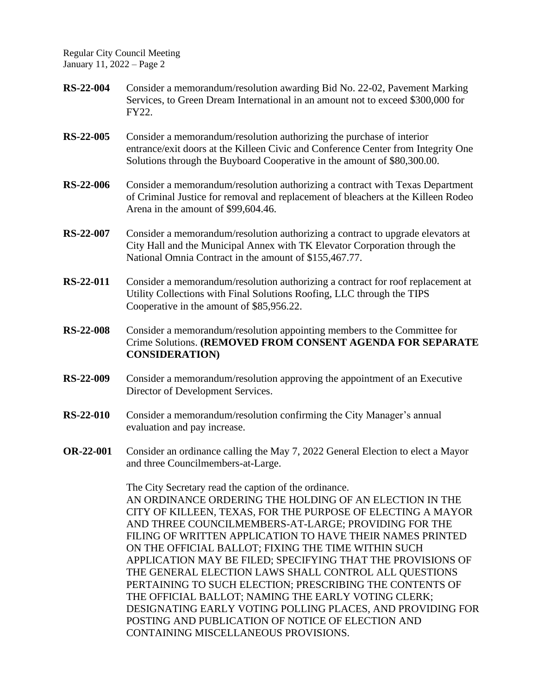Regular City Council Meeting January 11, 2022 – Page 2

- **RS-22-004** Consider a memorandum/resolution awarding Bid No. 22-02, Pavement Marking Services, to Green Dream International in an amount not to exceed \$300,000 for FY22.
- **RS-22-005** Consider a memorandum/resolution authorizing the purchase of interior entrance/exit doors at the Killeen Civic and Conference Center from Integrity One Solutions through the Buyboard Cooperative in the amount of \$80,300.00.
- **RS-22-006** Consider a memorandum/resolution authorizing a contract with Texas Department of Criminal Justice for removal and replacement of bleachers at the Killeen Rodeo Arena in the amount of \$99,604.46.
- **RS-22-007** Consider a memorandum/resolution authorizing a contract to upgrade elevators at City Hall and the Municipal Annex with TK Elevator Corporation through the National Omnia Contract in the amount of \$155,467.77.
- **RS-22-011** Consider a memorandum/resolution authorizing a contract for roof replacement at Utility Collections with Final Solutions Roofing, LLC through the TIPS Cooperative in the amount of \$85,956.22.
- **RS-22-008** Consider a memorandum/resolution appointing members to the Committee for Crime Solutions. **(REMOVED FROM CONSENT AGENDA FOR SEPARATE CONSIDERATION)**
- **RS-22-009** Consider a memorandum/resolution approving the appointment of an Executive Director of Development Services.
- **RS-22-010** Consider a memorandum/resolution confirming the City Manager's annual evaluation and pay increase.
- **OR-22-001** Consider an ordinance calling the May 7, 2022 General Election to elect a Mayor and three Councilmembers-at-Large.

The City Secretary read the caption of the ordinance. AN ORDINANCE ORDERING THE HOLDING OF AN ELECTION IN THE CITY OF KILLEEN, TEXAS, FOR THE PURPOSE OF ELECTING A MAYOR AND THREE COUNCILMEMBERS-AT-LARGE; PROVIDING FOR THE FILING OF WRITTEN APPLICATION TO HAVE THEIR NAMES PRINTED ON THE OFFICIAL BALLOT; FIXING THE TIME WITHIN SUCH APPLICATION MAY BE FILED; SPECIFYING THAT THE PROVISIONS OF THE GENERAL ELECTION LAWS SHALL CONTROL ALL QUESTIONS PERTAINING TO SUCH ELECTION; PRESCRIBING THE CONTENTS OF THE OFFICIAL BALLOT; NAMING THE EARLY VOTING CLERK; DESIGNATING EARLY VOTING POLLING PLACES, AND PROVIDING FOR POSTING AND PUBLICATION OF NOTICE OF ELECTION AND CONTAINING MISCELLANEOUS PROVISIONS.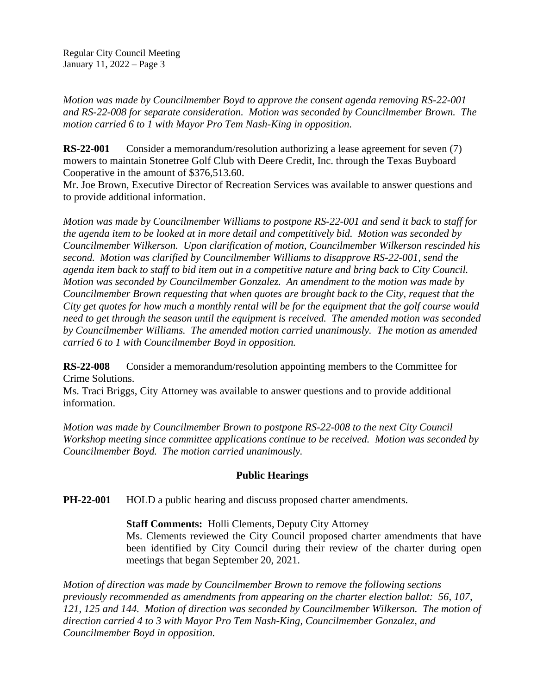*Motion was made by Councilmember Boyd to approve the consent agenda removing RS-22-001 and RS-22-008 for separate consideration. Motion was seconded by Councilmember Brown. The motion carried 6 to 1 with Mayor Pro Tem Nash-King in opposition.*

**RS-22-001** Consider a memorandum/resolution authorizing a lease agreement for seven (7) mowers to maintain Stonetree Golf Club with Deere Credit, Inc. through the Texas Buyboard Cooperative in the amount of \$376,513.60.

Mr. Joe Brown, Executive Director of Recreation Services was available to answer questions and to provide additional information.

*Motion was made by Councilmember Williams to postpone RS-22-001 and send it back to staff for the agenda item to be looked at in more detail and competitively bid. Motion was seconded by Councilmember Wilkerson. Upon clarification of motion, Councilmember Wilkerson rescinded his second. Motion was clarified by Councilmember Williams to disapprove RS-22-001, send the agenda item back to staff to bid item out in a competitive nature and bring back to City Council. Motion was seconded by Councilmember Gonzalez. An amendment to the motion was made by Councilmember Brown requesting that when quotes are brought back to the City, request that the City get quotes for how much a monthly rental will be for the equipment that the golf course would need to get through the season until the equipment is received. The amended motion was seconded by Councilmember Williams. The amended motion carried unanimously. The motion as amended carried 6 to 1 with Councilmember Boyd in opposition.* 

**RS-22-008** Consider a memorandum/resolution appointing members to the Committee for Crime Solutions.

Ms. Traci Briggs, City Attorney was available to answer questions and to provide additional information.

*Motion was made by Councilmember Brown to postpone RS-22-008 to the next City Council Workshop meeting since committee applications continue to be received. Motion was seconded by Councilmember Boyd. The motion carried unanimously.*

## **Public Hearings**

**PH-22-001** HOLD a public hearing and discuss proposed charter amendments.

## **Staff Comments:** Holli Clements, Deputy City Attorney

Ms. Clements reviewed the City Council proposed charter amendments that have been identified by City Council during their review of the charter during open meetings that began September 20, 2021.

*Motion of direction was made by Councilmember Brown to remove the following sections previously recommended as amendments from appearing on the charter election ballot: 56, 107, 121, 125 and 144. Motion of direction was seconded by Councilmember Wilkerson. The motion of direction carried 4 to 3 with Mayor Pro Tem Nash-King, Councilmember Gonzalez, and Councilmember Boyd in opposition.*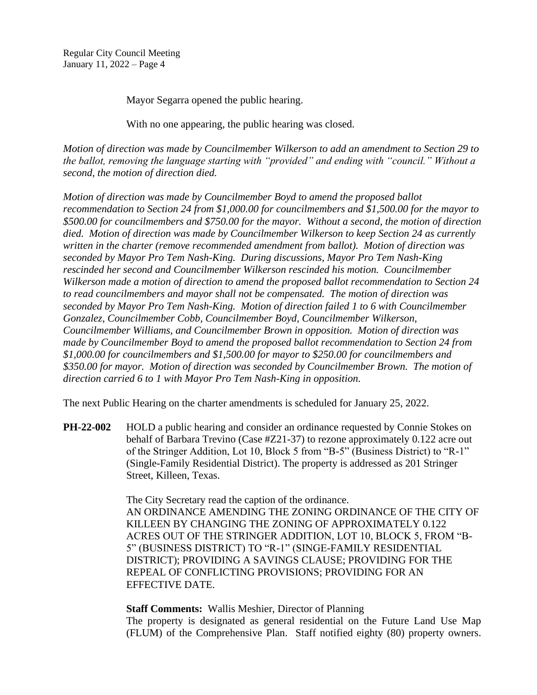Regular City Council Meeting January 11, 2022 – Page 4

Mayor Segarra opened the public hearing.

With no one appearing, the public hearing was closed.

*Motion of direction was made by Councilmember Wilkerson to add an amendment to Section 29 to the ballot, removing the language starting with "provided" and ending with "council." Without a second, the motion of direction died.* 

*Motion of direction was made by Councilmember Boyd to amend the proposed ballot recommendation to Section 24 from \$1,000.00 for councilmembers and \$1,500.00 for the mayor to \$500.00 for councilmembers and \$750.00 for the mayor. Without a second, the motion of direction died. Motion of direction was made by Councilmember Wilkerson to keep Section 24 as currently written in the charter (remove recommended amendment from ballot). Motion of direction was seconded by Mayor Pro Tem Nash-King. During discussions, Mayor Pro Tem Nash-King rescinded her second and Councilmember Wilkerson rescinded his motion. Councilmember Wilkerson made a motion of direction to amend the proposed ballot recommendation to Section 24 to read councilmembers and mayor shall not be compensated. The motion of direction was seconded by Mayor Pro Tem Nash-King. Motion of direction failed 1 to 6 with Councilmember Gonzalez, Councilmember Cobb, Councilmember Boyd, Councilmember Wilkerson, Councilmember Williams, and Councilmember Brown in opposition. Motion of direction was made by Councilmember Boyd to amend the proposed ballot recommendation to Section 24 from \$1,000.00 for councilmembers and \$1,500.00 for mayor to \$250.00 for councilmembers and \$350.00 for mayor. Motion of direction was seconded by Councilmember Brown. The motion of direction carried 6 to 1 with Mayor Pro Tem Nash-King in opposition.*

The next Public Hearing on the charter amendments is scheduled for January 25, 2022.

**PH-22-002** HOLD a public hearing and consider an ordinance requested by Connie Stokes on behalf of Barbara Trevino (Case #Z21-37) to rezone approximately 0.122 acre out of the Stringer Addition, Lot 10, Block 5 from "B-5" (Business District) to "R-1" (Single-Family Residential District). The property is addressed as 201 Stringer Street, Killeen, Texas.

> The City Secretary read the caption of the ordinance. AN ORDINANCE AMENDING THE ZONING ORDINANCE OF THE CITY OF KILLEEN BY CHANGING THE ZONING OF APPROXIMATELY 0.122 ACRES OUT OF THE STRINGER ADDITION, LOT 10, BLOCK 5, FROM "B-5" (BUSINESS DISTRICT) TO "R-1" (SINGE-FAMILY RESIDENTIAL DISTRICT); PROVIDING A SAVINGS CLAUSE; PROVIDING FOR THE REPEAL OF CONFLICTING PROVISIONS; PROVIDING FOR AN EFFECTIVE DATE.

> **Staff Comments:** Wallis Meshier, Director of Planning The property is designated as general residential on the Future Land Use Map (FLUM) of the Comprehensive Plan. Staff notified eighty (80) property owners.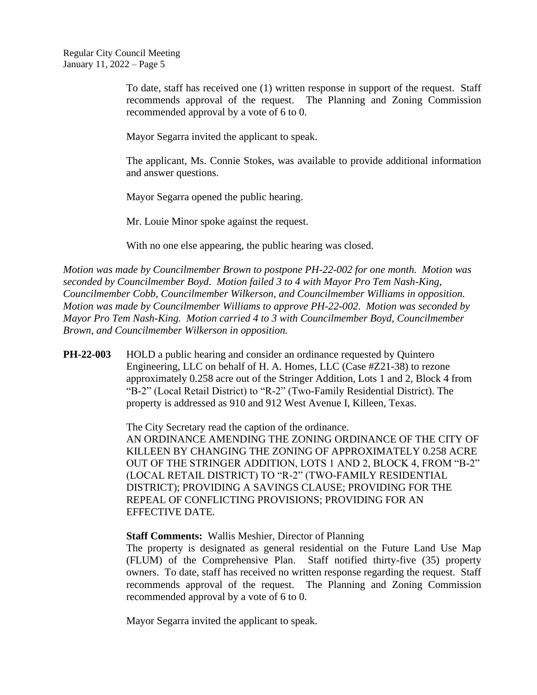To date, staff has received one (1) written response in support of the request. Staff recommends approval of the request. The Planning and Zoning Commission recommended approval by a vote of 6 to 0.

Mayor Segarra invited the applicant to speak.

The applicant, Ms. Connie Stokes, was available to provide additional information and answer questions.

Mayor Segarra opened the public hearing.

Mr. Louie Minor spoke against the request.

With no one else appearing, the public hearing was closed.

*Motion was made by Councilmember Brown to postpone PH-22-002 for one month. Motion was seconded by Councilmember Boyd. Motion failed 3 to 4 with Mayor Pro Tem Nash-King, Councilmember Cobb, Councilmember Wilkerson, and Councilmember Williams in opposition. Motion was made by Councilmember Williams to approve PH-22-002. Motion was seconded by Mayor Pro Tem Nash-King. Motion carried 4 to 3 with Councilmember Boyd, Councilmember Brown, and Councilmember Wilkerson in opposition.*

**PH-22-003** HOLD a public hearing and consider an ordinance requested by Quintero Engineering, LLC on behalf of H. A. Homes, LLC (Case #Z21-38) to rezone approximately 0.258 acre out of the Stringer Addition, Lots 1 and 2, Block 4 from "B-2" (Local Retail District) to "R-2" (Two-Family Residential District). The property is addressed as 910 and 912 West Avenue I, Killeen, Texas.

> The City Secretary read the caption of the ordinance. AN ORDINANCE AMENDING THE ZONING ORDINANCE OF THE CITY OF KILLEEN BY CHANGING THE ZONING OF APPROXIMATELY 0.258 ACRE OUT OF THE STRINGER ADDITION, LOTS 1 AND 2, BLOCK 4, FROM "B-2" (LOCAL RETAIL DISTRICT) TO "R-2" (TWO-FAMILY RESIDENTIAL DISTRICT); PROVIDING A SAVINGS CLAUSE; PROVIDING FOR THE REPEAL OF CONFLICTING PROVISIONS; PROVIDING FOR AN EFFECTIVE DATE.

**Staff Comments:** Wallis Meshier, Director of Planning

The property is designated as general residential on the Future Land Use Map (FLUM) of the Comprehensive Plan. Staff notified thirty-five (35) property owners. To date, staff has received no written response regarding the request. Staff recommends approval of the request. The Planning and Zoning Commission recommended approval by a vote of 6 to 0.

Mayor Segarra invited the applicant to speak.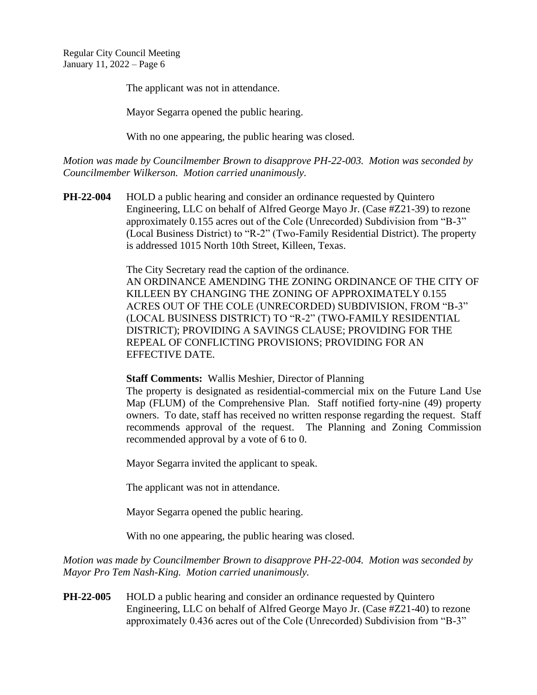The applicant was not in attendance.

Mayor Segarra opened the public hearing.

With no one appearing, the public hearing was closed.

*Motion was made by Councilmember Brown to disapprove PH-22-003. Motion was seconded by Councilmember Wilkerson. Motion carried unanimously.*

**PH-22-004** HOLD a public hearing and consider an ordinance requested by Quintero Engineering, LLC on behalf of Alfred George Mayo Jr. (Case #Z21-39) to rezone approximately 0.155 acres out of the Cole (Unrecorded) Subdivision from "B-3" (Local Business District) to "R-2" (Two-Family Residential District). The property is addressed 1015 North 10th Street, Killeen, Texas.

> The City Secretary read the caption of the ordinance. AN ORDINANCE AMENDING THE ZONING ORDINANCE OF THE CITY OF KILLEEN BY CHANGING THE ZONING OF APPROXIMATELY 0.155 ACRES OUT OF THE COLE (UNRECORDED) SUBDIVISION, FROM "B-3" (LOCAL BUSINESS DISTRICT) TO "R-2" (TWO-FAMILY RESIDENTIAL DISTRICT); PROVIDING A SAVINGS CLAUSE; PROVIDING FOR THE REPEAL OF CONFLICTING PROVISIONS; PROVIDING FOR AN EFFECTIVE DATE.

**Staff Comments:** Wallis Meshier, Director of Planning

The property is designated as residential-commercial mix on the Future Land Use Map (FLUM) of the Comprehensive Plan. Staff notified forty-nine (49) property owners. To date, staff has received no written response regarding the request. Staff recommends approval of the request. The Planning and Zoning Commission recommended approval by a vote of 6 to 0.

Mayor Segarra invited the applicant to speak.

The applicant was not in attendance.

Mayor Segarra opened the public hearing.

With no one appearing, the public hearing was closed.

*Motion was made by Councilmember Brown to disapprove PH-22-004. Motion was seconded by Mayor Pro Tem Nash-King. Motion carried unanimously.*

**PH-22-005** HOLD a public hearing and consider an ordinance requested by Quintero Engineering, LLC on behalf of Alfred George Mayo Jr. (Case #Z21-40) to rezone approximately 0.436 acres out of the Cole (Unrecorded) Subdivision from "B-3"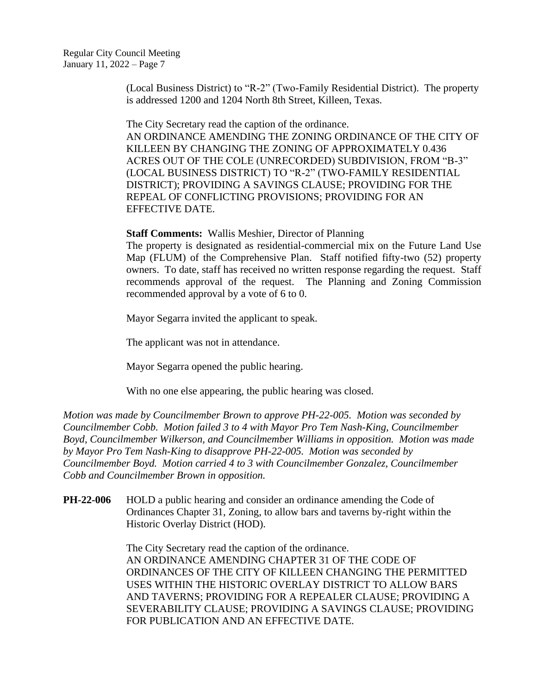(Local Business District) to "R-2" (Two-Family Residential District). The property is addressed 1200 and 1204 North 8th Street, Killeen, Texas.

The City Secretary read the caption of the ordinance. AN ORDINANCE AMENDING THE ZONING ORDINANCE OF THE CITY OF KILLEEN BY CHANGING THE ZONING OF APPROXIMATELY 0.436 ACRES OUT OF THE COLE (UNRECORDED) SUBDIVISION, FROM "B-3" (LOCAL BUSINESS DISTRICT) TO "R-2" (TWO-FAMILY RESIDENTIAL DISTRICT); PROVIDING A SAVINGS CLAUSE; PROVIDING FOR THE REPEAL OF CONFLICTING PROVISIONS; PROVIDING FOR AN EFFECTIVE DATE.

**Staff Comments:** Wallis Meshier, Director of Planning

The property is designated as residential-commercial mix on the Future Land Use Map (FLUM) of the Comprehensive Plan. Staff notified fifty-two (52) property owners. To date, staff has received no written response regarding the request. Staff recommends approval of the request. The Planning and Zoning Commission recommended approval by a vote of 6 to 0.

Mayor Segarra invited the applicant to speak.

The applicant was not in attendance.

Mayor Segarra opened the public hearing.

With no one else appearing, the public hearing was closed.

*Motion was made by Councilmember Brown to approve PH-22-005. Motion was seconded by Councilmember Cobb. Motion failed 3 to 4 with Mayor Pro Tem Nash-King, Councilmember Boyd, Councilmember Wilkerson, and Councilmember Williams in opposition. Motion was made by Mayor Pro Tem Nash-King to disapprove PH-22-005. Motion was seconded by Councilmember Boyd. Motion carried 4 to 3 with Councilmember Gonzalez, Councilmember Cobb and Councilmember Brown in opposition.*

**PH-22-006** HOLD a public hearing and consider an ordinance amending the Code of Ordinances Chapter 31, Zoning, to allow bars and taverns by-right within the Historic Overlay District (HOD).

> The City Secretary read the caption of the ordinance. AN ORDINANCE AMENDING CHAPTER 31 OF THE CODE OF ORDINANCES OF THE CITY OF KILLEEN CHANGING THE PERMITTED USES WITHIN THE HISTORIC OVERLAY DISTRICT TO ALLOW BARS AND TAVERNS; PROVIDING FOR A REPEALER CLAUSE; PROVIDING A SEVERABILITY CLAUSE; PROVIDING A SAVINGS CLAUSE; PROVIDING FOR PUBLICATION AND AN EFFECTIVE DATE.